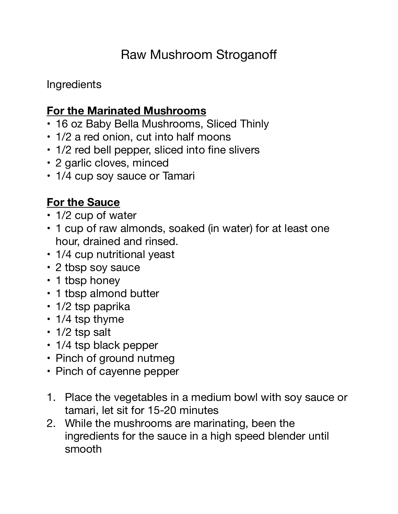## Raw Mushroom Stroganoff

**Ingredients** 

## **For the Marinated Mushrooms**

- 16 oz Baby Bella Mushrooms, Sliced Thinly
- 1/2 a red onion, cut into half moons
- 1/2 red bell pepper, sliced into fine slivers
- 2 garlic cloves, minced
- 1/4 cup soy sauce or Tamari

## **For the Sauce**

- 1/2 cup of water
- 1 cup of raw almonds, soaked (in water) for at least one hour, drained and rinsed.
- 1/4 cup nutritional yeast
- 2 tbsp soy sauce
- 1 tbsp honey
- 1 tbsp almond butter
- 1/2 tsp paprika
- 1/4 tsp thyme
- 1/2 tsp salt
- 1/4 tsp black pepper
- Pinch of ground nutmeg
- Pinch of cayenne pepper
- 1. Place the vegetables in a medium bowl with soy sauce or tamari, let sit for 15-20 minutes
- 2. While the mushrooms are marinating, been the ingredients for the sauce in a high speed blender until smooth